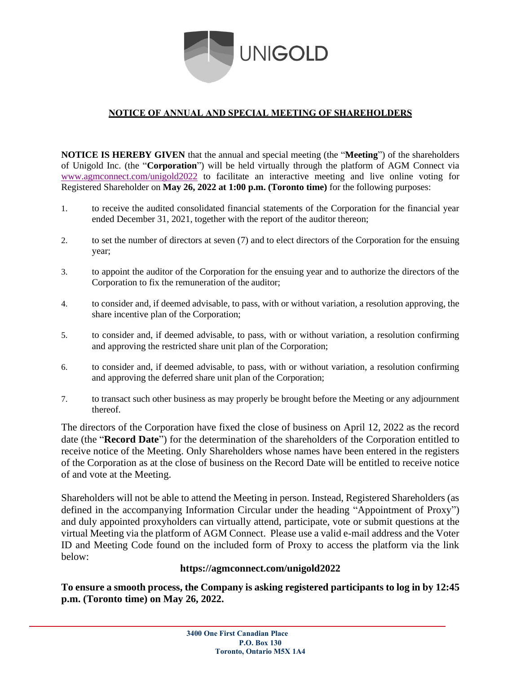

## **NOTICE OF ANNUAL AND SPECIAL MEETING OF SHAREHOLDERS**

**NOTICE IS HEREBY GIVEN** that the annual and special meeting (the "**Meeting**") of the shareholders of Unigold Inc. (the "**Corporation**") will be held virtually through the platform of AGM Connect via [www.agmconnect.com/unigold2022](http://www.agmconnect.com/unigold2022) to facilitate an interactive meeting and live online voting for Registered Shareholder on **May 26, 2022 at 1:00 p.m. (Toronto time)** for the following purposes:

- 1. to receive the audited consolidated financial statements of the Corporation for the financial year ended December 31, 2021, together with the report of the auditor thereon;
- 2. to set the number of directors at seven (7) and to elect directors of the Corporation for the ensuing year;
- 3. to appoint the auditor of the Corporation for the ensuing year and to authorize the directors of the Corporation to fix the remuneration of the auditor;
- 4. to consider and, if deemed advisable, to pass, with or without variation, a resolution approving, the share incentive plan of the Corporation;
- 5. to consider and, if deemed advisable, to pass, with or without variation, a resolution confirming and approving the restricted share unit plan of the Corporation;
- 6. to consider and, if deemed advisable, to pass, with or without variation, a resolution confirming and approving the deferred share unit plan of the Corporation;
- 7. to transact such other business as may properly be brought before the Meeting or any adjournment thereof.

The directors of the Corporation have fixed the close of business on April 12, 2022 as the record date (the "**Record Date**") for the determination of the shareholders of the Corporation entitled to receive notice of the Meeting. Only Shareholders whose names have been entered in the registers of the Corporation as at the close of business on the Record Date will be entitled to receive notice of and vote at the Meeting.

Shareholders will not be able to attend the Meeting in person. Instead, Registered Shareholders (as defined in the accompanying Information Circular under the heading "Appointment of Proxy") and duly appointed proxyholders can virtually attend, participate, vote or submit questions at the virtual Meeting via the platform of AGM Connect. Please use a valid e-mail address and the Voter ID and Meeting Code found on the included form of Proxy to access the platform via the link below:

## **https://agmconnect.com/unigold2022**

**To ensure a smooth process, the Company is asking registered participants to log in by 12:45 p.m. (Toronto time) on May 26, 2022.**